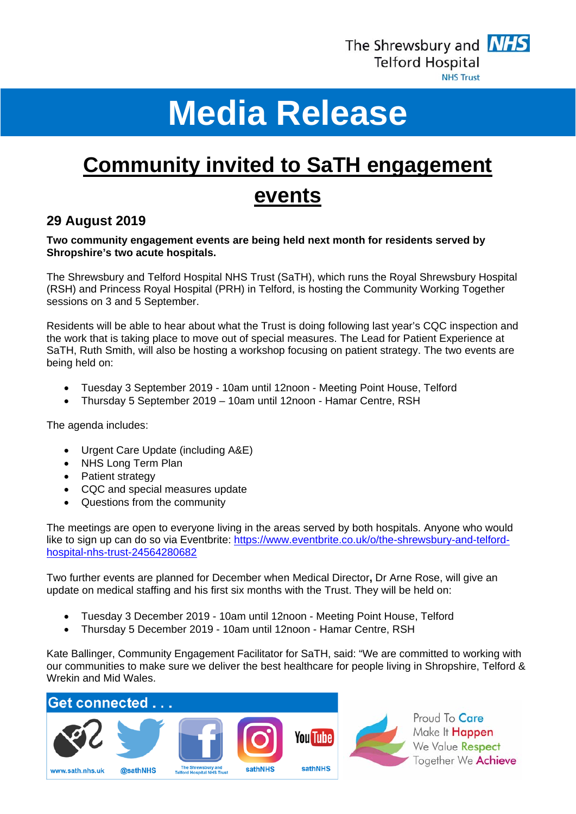

# **Media Release**

## **Community invited to SaTH engagement events**

### **29 August 2019**

#### **Two community engagement events are being held next month for residents served by Shropshire's two acute hospitals.**

The Shrewsbury and Telford Hospital NHS Trust (SaTH), which runs the Royal Shrewsbury Hospital (RSH) and Princess Royal Hospital (PRH) in Telford, is hosting the Community Working Together sessions on 3 and 5 September.

Residents will be able to hear about what the Trust is doing following last year's CQC inspection and the work that is taking place to move out of special measures. The Lead for Patient Experience at SaTH, Ruth Smith, will also be hosting a workshop focusing on patient strategy. The two events are being held on:

- Tuesday 3 September 2019 10am until 12noon Meeting Point House, Telford
- Thursday 5 September 2019 10am until 12noon Hamar Centre, RSH

The agenda includes:

- Urgent Care Update (including A&E)
- NHS Long Term Plan
- Patient strategy
- CQC and special measures update
- Questions from the community

The meetings are open to everyone living in the areas served by both hospitals. Anyone who would like to sign up can do so via Eventbrite: https://www.eventbrite.co.uk/o/the-shrewsbury-and-telfordhospital-nhs-trust-24564280682

Two further events are planned for December when Medical Director**,** Dr Arne Rose, will give an update on medical staffing and his first six months with the Trust. They will be held on:

- Tuesday 3 December 2019 10am until 12noon Meeting Point House, Telford
- Thursday 5 December 2019 10am until 12noon Hamar Centre, RSH

Kate Ballinger, Community Engagement Facilitator for SaTH, said: "We are committed to working with our communities to make sure we deliver the best healthcare for people living in Shropshire, Telford & Wrekin and Mid Wales.



Proud To Care Make It Happen We Value Respect Together We Achieve